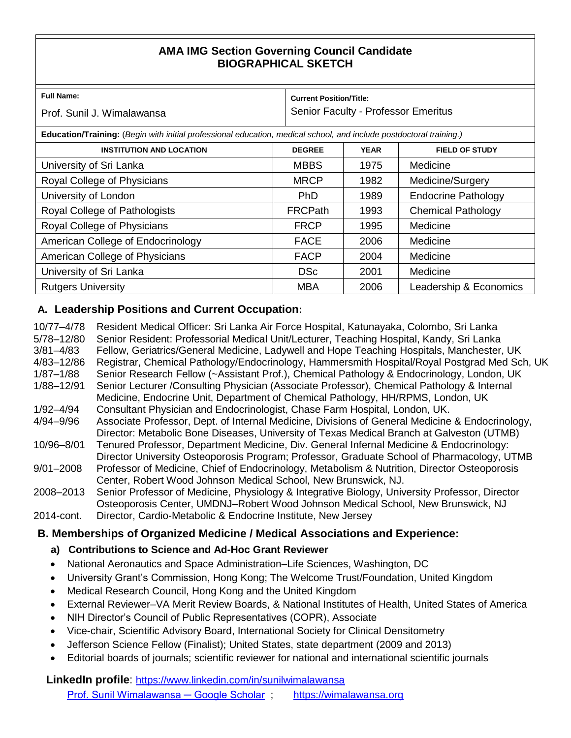# **AMA IMG Section Governing Council Candidate BIOGRAPHICAL SKETCH**

| <b>Full Name:</b><br>Prof. Sunil J. Wimalawansa                                                                     |                | <b>Current Position/Title:</b><br>Senior Faculty - Professor Emeritus |                            |  |
|---------------------------------------------------------------------------------------------------------------------|----------------|-----------------------------------------------------------------------|----------------------------|--|
| Education/Training: (Begin with initial professional education, medical school, and include postdoctoral training.) |                |                                                                       |                            |  |
| <b>INSTITUTION AND LOCATION</b>                                                                                     | <b>DEGREE</b>  | <b>YEAR</b>                                                           | <b>FIELD OF STUDY</b>      |  |
| University of Sri Lanka                                                                                             | <b>MBBS</b>    | 1975                                                                  | Medicine                   |  |
| Royal College of Physicians                                                                                         | <b>MRCP</b>    | 1982                                                                  | Medicine/Surgery           |  |
| University of London                                                                                                | <b>PhD</b>     | 1989                                                                  | <b>Endocrine Pathology</b> |  |
| Royal College of Pathologists                                                                                       | <b>FRCPath</b> | 1993                                                                  | <b>Chemical Pathology</b>  |  |
| Royal College of Physicians                                                                                         | <b>FRCP</b>    | 1995                                                                  | Medicine                   |  |
| American College of Endocrinology                                                                                   | <b>FACE</b>    | 2006                                                                  | Medicine                   |  |
| American College of Physicians                                                                                      | <b>FACP</b>    | 2004                                                                  | Medicine                   |  |
| University of Sri Lanka                                                                                             | <b>DSc</b>     | 2001                                                                  | Medicine                   |  |
| <b>Rutgers University</b>                                                                                           | <b>MBA</b>     | 2006                                                                  | Leadership & Economics     |  |

## **A. Leadership Positions and Current Occupation:**

| 10/77-4/78<br>5/78-12/80<br>$3/81 - 4/83$ | Resident Medical Officer: Sri Lanka Air Force Hospital, Katunayaka, Colombo, Sri Lanka<br>Senior Resident: Professorial Medical Unit/Lecturer, Teaching Hospital, Kandy, Sri Lanka<br>Fellow, Geriatrics/General Medicine, Ladywell and Hope Teaching Hospitals, Manchester, UK |
|-------------------------------------------|---------------------------------------------------------------------------------------------------------------------------------------------------------------------------------------------------------------------------------------------------------------------------------|
| 4/83-12/86                                | Registrar, Chemical Pathology/Endocrinology, Hammersmith Hospital/Royal Postgrad Med Sch, UK                                                                                                                                                                                    |
| $1/87 - 1/88$                             | Senior Research Fellow (~Assistant Prof.), Chemical Pathology & Endocrinology, London, UK                                                                                                                                                                                       |
| 1/88-12/91                                | Senior Lecturer /Consulting Physician (Associate Professor), Chemical Pathology & Internal                                                                                                                                                                                      |
|                                           | Medicine, Endocrine Unit, Department of Chemical Pathology, HH/RPMS, London, UK                                                                                                                                                                                                 |
| $1/92 - 4/94$                             | Consultant Physician and Endocrinologist, Chase Farm Hospital, London, UK.                                                                                                                                                                                                      |
| 4/94-9/96                                 | Associate Professor, Dept. of Internal Medicine, Divisions of General Medicine & Endocrinology,                                                                                                                                                                                 |
|                                           | Director: Metabolic Bone Diseases, University of Texas Medical Branch at Galveston (UTMB)                                                                                                                                                                                       |
| 10/96-8/01                                | Tenured Professor, Department Medicine, Div. General Infernal Medicine & Endocrinology:                                                                                                                                                                                         |
|                                           | Director University Osteoporosis Program; Professor, Graduate School of Pharmacology, UTMB                                                                                                                                                                                      |
| $9/01 - 2008$                             | Professor of Medicine, Chief of Endocrinology, Metabolism & Nutrition, Director Osteoporosis                                                                                                                                                                                    |
|                                           | Center, Robert Wood Johnson Medical School, New Brunswick, NJ.                                                                                                                                                                                                                  |
| 2008-2013                                 | Senior Professor of Medicine, Physiology & Integrative Biology, University Professor, Director                                                                                                                                                                                  |
|                                           | Osteoporosis Center, UMDNJ-Robert Wood Johnson Medical School, New Brunswick, NJ                                                                                                                                                                                                |
| 2014-cont.                                | Director, Cardio-Metabolic & Endocrine Institute, New Jersey                                                                                                                                                                                                                    |
|                                           |                                                                                                                                                                                                                                                                                 |

## **B. Memberships of Organized Medicine / Medical Associations and Experience:**

- **a) Contributions to Science and Ad-Hoc Grant Reviewer**
- National Aeronautics and Space Administration–Life Sciences, Washington, DC
- University Grant's Commission, Hong Kong; The Welcome Trust/Foundation, United Kingdom
- Medical Research Council, Hong Kong and the United Kingdom
- External Reviewer–VA Merit Review Boards, & National Institutes of Health, United States of America
- NIH Director's Council of Public Representatives (COPR), Associate
- Vice-chair, Scientific Advisory Board, International Society for Clinical Densitometry
- Jefferson Science Fellow (Finalist); United States, state department (2009 and 2013)
- Editorial boards of journals; scientific reviewer for national and international scientific journals

**LinkedIn profile**: <https://www.linkedin.com/in/sunilwimalawansa> [Prof. Sunil Wimalawansa ─ Google Scholar](https://scholar.google.com/citations?hl=en&view_op=list_works&authuser=1&gmla=AJsN-F4WztQNcU1EN1E6w2q7QyC-h74Hv7u-0eEfAxi_4mW5lb3DLz_wuDEYAdMmCXo19YSih5MO0i-EH4k6_TlOgk7FPk_dBw&user=czsMEDsAAAAJ) ; [https://wimalawansa.org](https://wimalawansa.org/)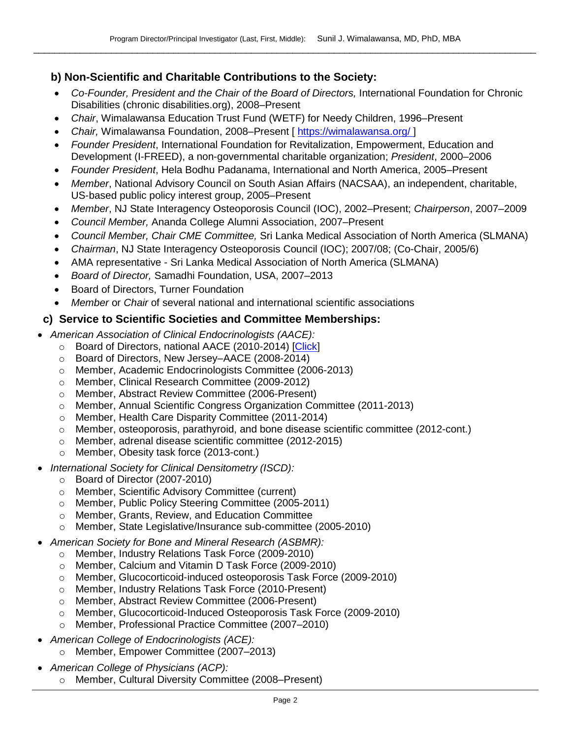## **b) Non-Scientific and Charitable Contributions to the Society:**

- *Co-Founder, President and the Chair of the Board of Directors,* International Foundation for Chronic Disabilities (chronic disabilities.org), 2008–Present
- *Chair*, Wimalawansa Education Trust Fund (WETF) for Needy Children, 1996–Present
- Chair, Wimalawansa Foundation, 2008–Present [ <https://wimalawansa.org/> ]
- *Founder President*, International Foundation for Revitalization, Empowerment, Education and Development (I-FREED), a non-governmental charitable organization; *President*, 2000–2006
- *Founder President*, Hela Bodhu Padanama, International and North America, 2005–Present
- *Member*, National Advisory Council on South Asian Affairs (NACSAA), an independent, charitable, US-based public policy interest group, 2005–Present
- *Member*, NJ State Interagency Osteoporosis Council (IOC), 2002–Present; *Chairperson*, 2007–2009
- *Council Member,* Ananda College Alumni Association, 2007–Present
- *Council Member, Chair CME Committee,* Sri Lanka Medical Association of North America (SLMANA)
- *Chairman*, NJ State Interagency Osteoporosis Council (IOC); 2007/08; (Co-Chair, 2005/6)
- AMA representative Sri Lanka Medical Association of North America (SLMANA)
- *Board of Director,* Samadhi Foundation, USA, 2007–2013
- Board of Directors, Turner Foundation
- *Member* or *Chair* of several national and international scientific associations

## **c) Service to Scientific Societies and Committee Memberships:**

- *American Association of Clinical Endocrinologists (AACE):* 
	- o Board of Directors, national AACE (2010-2014) [\[Click\]](http://media.aace.com/leadership/board-directors/sunil-j-wimalawansa-md-phd-face-frcpath-fccp-facp-frcp-mba-dsc)
	- o Board of Directors, New Jersey–AACE (2008-2014)
	- o Member, Academic Endocrinologists Committee (2006-2013)
	- o Member, Clinical Research Committee (2009-2012)
	- o Member, Abstract Review Committee (2006-Present)
	- o Member, Annual Scientific Congress Organization Committee (2011-2013)
	- o Member, Health Care Disparity Committee (2011-2014)
	- o Member, osteoporosis, parathyroid, and bone disease scientific committee (2012-cont.)
	- o Member, adrenal disease scientific committee (2012-2015)
	- o Member, Obesity task force (2013-cont.)
- *International Society for Clinical Densitometry (ISCD):*
	- o Board of Director (2007-2010)
	- o Member, Scientific Advisory Committee (current)
	- o Member, Public Policy Steering Committee (2005-2011)
	- o Member, Grants, Review, and Education Committee
	- o Member, State Legislative/Insurance sub-committee (2005-2010)
- *American Society for Bone and Mineral Research (ASBMR):* 
	- o Member, Industry Relations Task Force (2009-2010)
	- o Member, Calcium and Vitamin D Task Force (2009-2010)
	- o Member, Glucocorticoid-induced osteoporosis Task Force (2009-2010)
	- o Member, Industry Relations Task Force (2010-Present)
	- o Member, Abstract Review Committee (2006-Present)
	- o Member, Glucocorticoid-Induced Osteoporosis Task Force (2009-2010)
	- Member, Professional Practice Committee (2007–2010)
- *American College of Endocrinologists (ACE):* 
	- o Member, Empower Committee (2007–2013)
- *American College of Physicians (ACP):* 
	- o Member, Cultural Diversity Committee (2008–Present)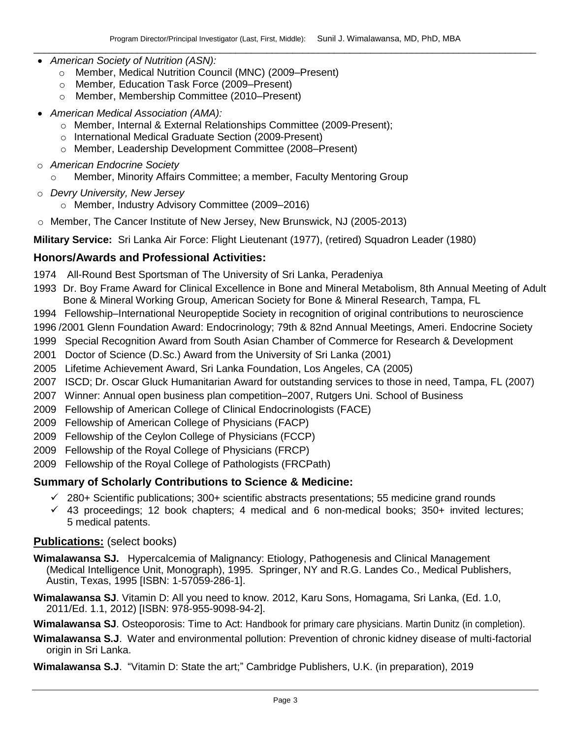- *American Society of Nutrition (ASN):* 
	- o Member, Medical Nutrition Council (MNC) (2009–Present)
	- o Member*,* Education Task Force (2009–Present)
	- o Member, Membership Committee (2010–Present)
- *American Medical Association (AMA):* 
	- o Member, Internal & External Relationships Committee (2009-Present);
	- o International Medical Graduate Section (2009-Present)
	- o Member, Leadership Development Committee (2008–Present)
- o *American Endocrine Society*
	- $\circ$  Member, Minority Affairs Committee; a member, Faculty Mentoring Group
- o *Devry University, New Jersey*
	- o Member, Industry Advisory Committee (2009–2016)
- o Member, The Cancer Institute of New Jersey, New Brunswick, NJ (2005-2013)
- **Military Service:** Sri Lanka Air Force: Flight Lieutenant (1977), (retired) Squadron Leader (1980)

### **Honors/Awards and Professional Activities:**

- 1974 All-Round Best Sportsman of The University of Sri Lanka, Peradeniya
- 1993 Dr. Boy Frame Award for Clinical Excellence in Bone and Mineral Metabolism, 8th Annual Meeting of Adult Bone & Mineral Working Group, American Society for Bone & Mineral Research, Tampa, FL
- 1994 Fellowship–International Neuropeptide Society in recognition of original contributions to neuroscience
- 1996 /2001 Glenn Foundation Award: Endocrinology; 79th & 82nd Annual Meetings, Ameri. Endocrine Society
- 1999 Special Recognition Award from South Asian Chamber of Commerce for Research & Development
- 2001 Doctor of Science (D.Sc.) Award from the University of Sri Lanka (2001)
- 2005 Lifetime Achievement Award, Sri Lanka Foundation, Los Angeles, CA (2005)
- 2007 ISCD; Dr. Oscar Gluck Humanitarian Award for outstanding services to those in need, Tampa, FL (2007)
- 2007 Winner: Annual open business plan competition–2007, Rutgers Uni. School of Business
- 2009 Fellowship of American College of Clinical Endocrinologists (FACE)
- 2009 Fellowship of American College of Physicians (FACP)
- 2009 Fellowship of the Ceylon College of Physicians (FCCP)
- 2009 Fellowship of the Royal College of Physicians (FRCP)
- 2009 Fellowship of the Royal College of Pathologists (FRCPath)

#### **Summary of Scholarly Contributions to Science & Medicine:**

- $\checkmark$  280+ Scientific publications; 300+ scientific abstracts presentations; 55 medicine grand rounds
- $\checkmark$  43 proceedings; 12 book chapters; 4 medical and 6 non-medical books; 350+ invited lectures; 5 medical patents.

#### **Publications:** (select books)

- **Wimalawansa SJ.** Hypercalcemia of Malignancy: Etiology, Pathogenesis and Clinical Management (Medical Intelligence Unit, Monograph), 1995. Springer, NY and R.G. Landes Co., Medical Publishers, Austin, Texas, 1995 [ISBN: 1-57059-286-1].
- **Wimalawansa SJ**. Vitamin D: All you need to know. 2012, Karu Sons, Homagama, Sri Lanka, (Ed. 1.0, 2011/Ed. 1.1, 2012) [ISBN: 978-955-9098-94-2].
- **Wimalawansa SJ**. Osteoporosis: Time to Act: Handbook for primary care physicians. Martin Dunitz (in completion).
- **Wimalawansa S.J**. Water and environmental pollution: Prevention of chronic kidney disease of multi-factorial origin in Sri Lanka.
- **Wimalawansa S.J**. "Vitamin D: State the art;" Cambridge Publishers, U.K. (in preparation), 2019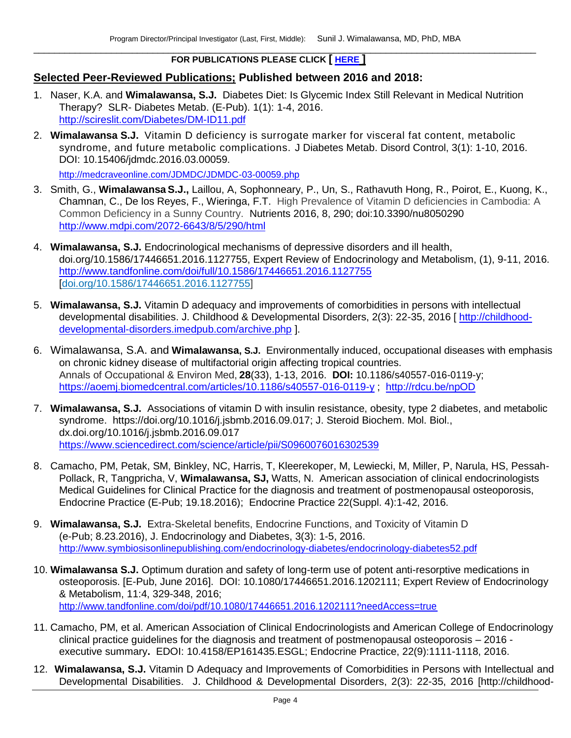#### $\Box$  . The contribution of the contribution of the contribution of the contribution of the contribution of the contribution of the contribution of the contribution of the contribution of the contribution of the contributi **FOR PUBLICATIONS PLEASE CLICK [ [HERE](https://www.researchgate.net/profile/Sunil_Wimalawansa/research) ]**

## **Selected Peer-Reviewed Publications; Published between 2016 and 2018:**

- 1. Naser, K.A. and **Wimalawansa, S.J.** Diabetes Diet: Is Glycemic Index Still Relevant in Medical Nutrition Therapy? SLR- Diabetes Metab. (E-Pub). 1(1): 1-4, 2016. <http://scireslit.com/Diabetes/DM-ID11.pdf>
- 2. **Wimalawansa S.J.** Vitamin D deficiency is surrogate marker for visceral fat content, metabolic syndrome, and future metabolic complications. J Diabetes Metab. Disord Control, 3(1): 1-10, 2016. DOI: 10.15406/jdmdc.2016.03.00059.

<http://medcraveonline.com/JDMDC/JDMDC-03-00059.php>

- 3. Smith, G., **Wimalawansa S.J.,** Laillou, A, Sophonneary, P., Un, S., Rathavuth Hong, R., Poirot, E., Kuong, K., Chamnan, C., De los Reyes, F., Wieringa, F.T. High Prevalence of Vitamin D deficiencies in Cambodia: A Common Deficiency in a Sunny Country. Nutrients 2016, 8, 290; doi:10.3390/nu8050290 <http://www.mdpi.com/2072-6643/8/5/290/html>
- 4. **Wimalawansa, S.J.** Endocrinological mechanisms of depressive disorders and ill health, doi.org/10.1586/17446651.2016.1127755, Expert Review of Endocrinology and Metabolism, (1), 9-11, 2016. <http://www.tandfonline.com/doi/full/10.1586/17446651.2016.1127755> [\[doi.org/10.1586/17446651.2016.1127755\]](http://dx.doi.org/10.1586/17446651.2016.1127755)
- 5. **Wimalawansa, S.J.** Vitamin D adequacy and improvements of comorbidities in persons with intellectual developmental disabilities. J. Childhood & Developmental Disorders, 2(3): 22-35, 2016 [ [http://childhood](http://childhood-developmental-disorders.imedpub.com/archive.php)[developmental-disorders.imedpub.com/archive.php](http://childhood-developmental-disorders.imedpub.com/archive.php) ].
- 6. Wimalawansa, S.A. and **Wimalawansa, S.J.** Environmentally induced, occupational diseases with emphasis on chronic kidney disease of multifactorial origin affecting tropical countries. Annals of Occupational & Environ Med, **28**(33), 1-13, 2016. **DOI:** 10.1186/s40557-016-0119-y; <https://aoemj.biomedcentral.com/articles/10.1186/s40557-016-0119-y> ; [http://rdcu.be/npOD](http://em.rdcu.be/wf/click?upn=KP7O1RED-2BlD0F9LDqGVeSKEnMMPk2-2FNyWZbvvU5vAPM-3D_OZDW7kjHx0dZR7p3d8Jtd6iDYuV7GrE04kN3ZohEigfNtGOgJpx4BBW8zSoRsNlkL7ZcKQ2zT-2Fwp8zXEBtx58Kist9BtSajNMTV5yjkifiYDim42OzvDZWY60-2BkPkcb6cDzCE9n-2ByFFGor2eqR2qfdCwM8YtuSsSEJTaq4FAHso0ReVIZ4ysNgTnwCDqwVg74Q-2B3IJOkd-2BB3GQuQZvYbJQ-3D-3D)
- 7. **Wimalawansa, S.J.** Associations of vitamin D with insulin resistance, obesity, type 2 diabetes, and metabolic syndrome. https://doi.org/10.1016/j.jsbmb.2016.09.017; J. Steroid Biochem. Mol. Biol., dx.doi.org/10.1016/j.jsbmb.2016.09.017 <https://www.sciencedirect.com/science/article/pii/S0960076016302539>
- 8. Camacho, PM, Petak, SM, Binkley, NC, Harris, T, Kleerekoper, M, Lewiecki, M, Miller, P, Narula, HS, Pessah-Pollack, R, Tangpricha, V, **Wimalawansa, SJ,** Watts, N. American association of clinical endocrinologists Medical Guidelines for Clinical Practice for the diagnosis and treatment of postmenopausal osteoporosis, Endocrine Practice (E-Pub; 19.18.2016); Endocrine Practice 22(Suppl. 4):1-42, 2016.
- 9. **Wimalawansa, S.J.** Extra-Skeletal benefits, Endocrine Functions, and Toxicity of Vitamin D (e-Pub; 8.23.2016), J. Endocrinology and Diabetes, 3(3): 1-5, 2016. <http://www.symbiosisonlinepublishing.com/endocrinology-diabetes/endocrinology-diabetes52.pdf>
- 10. **Wimalawansa S.J.** Optimum duration and safety of long-term use of potent anti-resorptive medications in osteoporosis. [E-Pub, June 2016]. DOI: 10.1080/17446651.2016.1202111; Expert Review of Endocrinology & Metabolism, 11:4, 329-348, 2016; <http://www.tandfonline.com/doi/pdf/10.1080/17446651.2016.1202111?needAccess=true>
- 11. Camacho, PM, et al. American Association of Clinical Endocrinologists and American College of Endocrinology clinical practice guidelines for the diagnosis and treatment of postmenopausal osteoporosis – 2016 executive summary**.** EDOI: 10.4158/EP161435.ESGL; Endocrine Practice, 22(9):1111-1118, 2016.
- 12. **Wimalawansa, S.J.** Vitamin D Adequacy and Improvements of Comorbidities in Persons with Intellectual and Developmental Disabilities. J. Childhood & Developmental Disorders, 2(3): 22-35, 2016 [http://childhood-